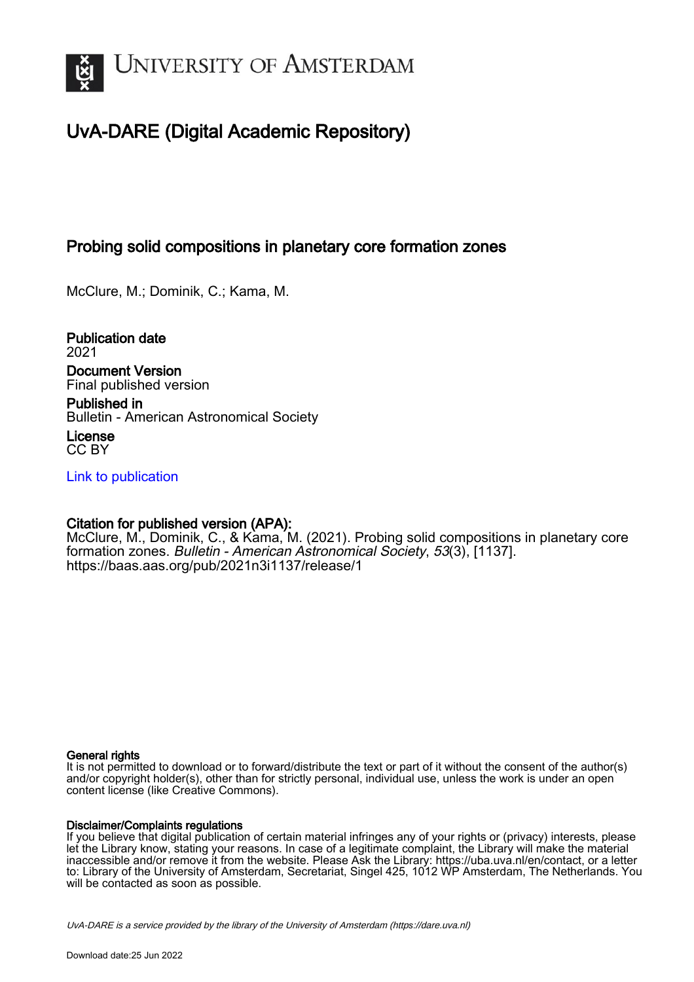

# UvA-DARE (Digital Academic Repository)

## Probing solid compositions in planetary core formation zones

McClure, M.; Dominik, C.; Kama, M.

Publication date 2021 Document Version Final published version

Published in Bulletin - American Astronomical Society

License CC BY

[Link to publication](https://dare.uva.nl/personal/pure/en/publications/probing-solid-compositions-in-planetary-core-formation-zones(bfebb7a6-ae9c-46d5-8044-44f5b6dfcfba).html)

### Citation for published version (APA):

McClure, M., Dominik, C., & Kama, M. (2021). Probing solid compositions in planetary core formation zones. Bulletin - American Astronomical Society, 53(3), [1137]. <https://baas.aas.org/pub/2021n3i1137/release/1>

#### General rights

It is not permitted to download or to forward/distribute the text or part of it without the consent of the author(s) and/or copyright holder(s), other than for strictly personal, individual use, unless the work is under an open content license (like Creative Commons).

#### Disclaimer/Complaints regulations

If you believe that digital publication of certain material infringes any of your rights or (privacy) interests, please let the Library know, stating your reasons. In case of a legitimate complaint, the Library will make the material inaccessible and/or remove it from the website. Please Ask the Library: https://uba.uva.nl/en/contact, or a letter to: Library of the University of Amsterdam, Secretariat, Singel 425, 1012 WP Amsterdam, The Netherlands. You will be contacted as soon as possible.

UvA-DARE is a service provided by the library of the University of Amsterdam (http*s*://dare.uva.nl)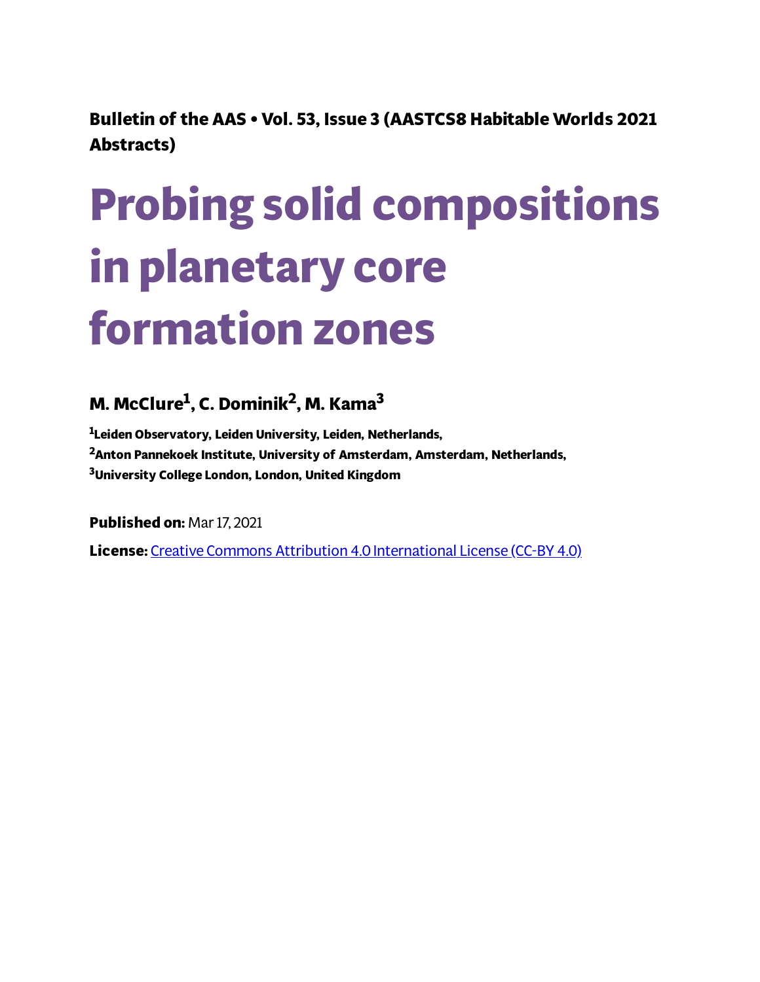**Bulletin of the AAS • Vol. 53, Issue 3 (AASTCS8 Habitable Worlds 2021 Abstracts)**

# **Probing solid compositions in planetary core formation zones**

# **M. McClure 1 , C. Dominik 2 , M. Kama 3**

**<sup>1</sup>Leiden Observatory, Leiden University, Leiden, Netherlands, <sup>2</sup>Anton Pannekoek Institute, University of Amsterdam, Amsterdam, Netherlands, <sup>3</sup>University College London, London, United Kingdom**

**Published on:** Mar 17, 2021

**License:** Creative Commons Attribution 4.0 [International](https://creativecommons.org/licenses/by/4.0/) License (CC-BY 4.0)